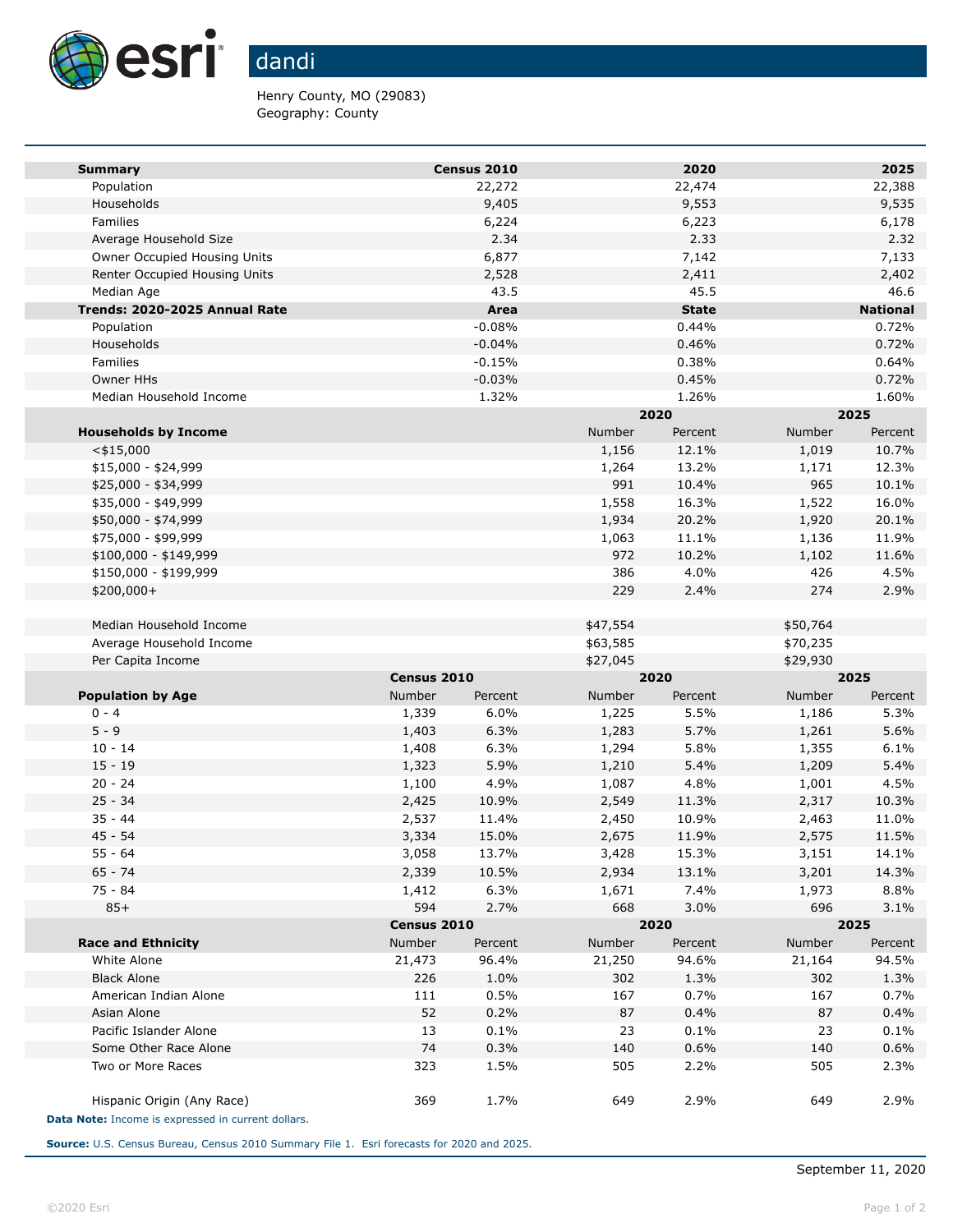

## dandi

Henry County, MO (29083) Geography: County

| <b>Summary</b>                                     |             | Census 2010 |          | 2020         |          | 2025            |  |
|----------------------------------------------------|-------------|-------------|----------|--------------|----------|-----------------|--|
| Population                                         |             | 22,272      |          | 22,474       |          | 22,388          |  |
| Households                                         |             | 9,405       |          | 9,553        |          | 9,535           |  |
| Families                                           |             | 6,224       |          | 6,223        |          | 6,178           |  |
| Average Household Size                             |             | 2.34        |          | 2.33         |          | 2.32            |  |
| Owner Occupied Housing Units                       |             | 6,877       |          | 7,142        |          | 7,133           |  |
| Renter Occupied Housing Units                      |             | 2,528       |          | 2,411        |          | 2,402           |  |
| Median Age                                         |             | 43.5        |          | 45.5         |          | 46.6            |  |
| Trends: 2020-2025 Annual Rate                      |             | Area        |          | <b>State</b> |          | <b>National</b> |  |
| Population                                         |             | $-0.08%$    |          | 0.44%        |          | 0.72%           |  |
| Households                                         |             | $-0.04%$    |          | 0.46%        |          | 0.72%           |  |
| Families                                           |             | $-0.15%$    |          | 0.38%        |          | 0.64%           |  |
| Owner HHs                                          |             | $-0.03%$    |          | 0.45%        |          | 0.72%           |  |
| Median Household Income                            |             | 1.32%       |          | 1.26%        |          | 1.60%           |  |
|                                                    |             |             | 2020     |              | 2025     |                 |  |
| <b>Households by Income</b>                        |             |             | Number   | Percent      | Number   | Percent         |  |
| $<$ \$15,000                                       |             |             | 1,156    | 12.1%        | 1,019    | 10.7%           |  |
| $$15,000 - $24,999$                                |             |             | 1,264    | 13.2%        | 1,171    | 12.3%           |  |
| \$25,000 - \$34,999                                |             |             | 991      | 10.4%        | 965      | 10.1%           |  |
| \$35,000 - \$49,999                                |             |             | 1,558    | 16.3%        | 1,522    | 16.0%           |  |
| \$50,000 - \$74,999                                |             |             | 1,934    | 20.2%        | 1,920    | 20.1%           |  |
| \$75,000 - \$99,999                                |             |             | 1,063    | 11.1%        | 1,136    | 11.9%           |  |
| $$100,000 - $149,999$                              |             |             | 972      | 10.2%        | 1,102    | 11.6%           |  |
| \$150,000 - \$199,999                              |             |             | 386      | 4.0%         | 426      | 4.5%            |  |
| \$200,000+                                         |             |             | 229      | 2.4%         | 274      | 2.9%            |  |
| Median Household Income                            |             |             | \$47,554 |              | \$50,764 |                 |  |
| Average Household Income                           |             |             | \$63,585 |              | \$70,235 |                 |  |
| Per Capita Income                                  |             |             | \$27,045 |              | \$29,930 |                 |  |
|                                                    | Census 2010 |             | 2020     |              | 2025     |                 |  |
| <b>Population by Age</b>                           | Number      | Percent     | Number   | Percent      | Number   | Percent         |  |
| $0 - 4$                                            | 1,339       | 6.0%        | 1,225    | 5.5%         | 1,186    | 5.3%            |  |
| $5 - 9$                                            | 1,403       | 6.3%        | 1,283    | 5.7%         | 1,261    | 5.6%            |  |
| $10 - 14$                                          | 1,408       | 6.3%        | 1,294    | 5.8%         | 1,355    | 6.1%            |  |
| $15 - 19$                                          | 1,323       | 5.9%        | 1,210    | 5.4%         | 1,209    | 5.4%            |  |
| $20 - 24$                                          | 1,100       | 4.9%        | 1,087    | 4.8%         | 1,001    | 4.5%            |  |
| $25 - 34$                                          | 2,425       | 10.9%       | 2,549    | 11.3%        | 2,317    | 10.3%           |  |
| $35 - 44$                                          | 2,537       | 11.4%       | 2,450    | 10.9%        | 2,463    | 11.0%           |  |
| $45 - 54$                                          | 3,334       | 15.0%       | 2,675    | 11.9%        | 2,575    | 11.5%           |  |
| 55 - 64                                            | 3,058       | 13.7%       | 3,428    | 15.3%        | 3,151    | 14.1%           |  |
| $65 - 74$                                          | 2,339       | 10.5%       | 2,934    | 13.1%        | 3,201    | 14.3%           |  |
| 75 - 84                                            | 1,412       | 6.3%        | 1,671    | 7.4%         | 1,973    | 8.8%            |  |
| $85+$                                              | 594         | 2.7%        | 668      | 3.0%         | 696      | 3.1%            |  |
|                                                    | Census 2010 |             |          | 2020         |          | 2025            |  |
| <b>Race and Ethnicity</b>                          | Number      | Percent     | Number   | Percent      | Number   | Percent         |  |
| White Alone                                        | 21,473      | 96.4%       | 21,250   | 94.6%        | 21,164   | 94.5%           |  |
| <b>Black Alone</b>                                 | 226         | 1.0%        | 302      | 1.3%         | 302      | 1.3%            |  |
| American Indian Alone                              | 111         | 0.5%        | 167      | 0.7%         | 167      | 0.7%            |  |
| Asian Alone                                        | 52          | 0.2%        | 87       | 0.4%         | 87       | 0.4%            |  |
| Pacific Islander Alone                             | 13          | 0.1%        | 23       | 0.1%         | 23       | 0.1%            |  |
| Some Other Race Alone                              | 74          | 0.3%        | 140      | 0.6%         | 140      | 0.6%            |  |
| Two or More Races                                  | 323         | 1.5%        | 505      | 2.2%         | 505      | 2.3%            |  |
| Hispanic Origin (Any Race)                         | 369         | 1.7%        | 649      | 2.9%         | 649      | 2.9%            |  |
| Data Note: Income is expressed in current dollars. |             |             |          |              |          |                 |  |

**Source:** U.S. Census Bureau, Census 2010 Summary File 1. Esri forecasts for 2020 and 2025.